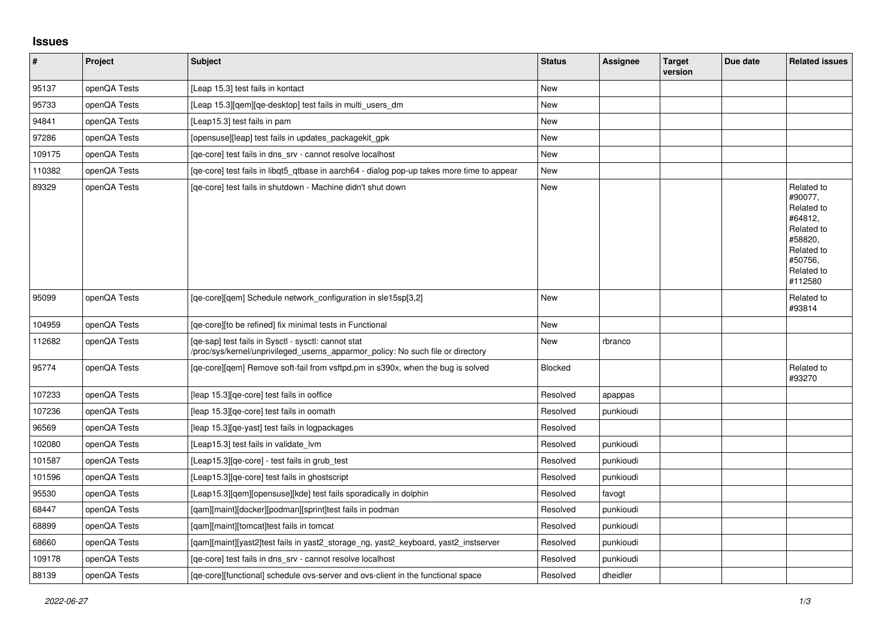## **Issues**

| $\vert$ # | <b>Project</b> | Subject                                                                                                                                | <b>Status</b>  | <b>Assignee</b> | <b>Target</b><br>version | Due date | <b>Related issues</b>                                                                                                     |
|-----------|----------------|----------------------------------------------------------------------------------------------------------------------------------------|----------------|-----------------|--------------------------|----------|---------------------------------------------------------------------------------------------------------------------------|
| 95137     | openQA Tests   | [Leap 15.3] test fails in kontact                                                                                                      | <b>New</b>     |                 |                          |          |                                                                                                                           |
| 95733     | openQA Tests   | [Leap 15.3] [gem] [ge-desktop] test fails in multi users dm                                                                            | <b>New</b>     |                 |                          |          |                                                                                                                           |
| 94841     | openQA Tests   | [Leap15.3] test fails in pam                                                                                                           | <b>New</b>     |                 |                          |          |                                                                                                                           |
| 97286     | openQA Tests   | [opensuse][leap] test fails in updates packagekit gpk                                                                                  | New            |                 |                          |          |                                                                                                                           |
| 109175    | openQA Tests   | [ge-core] test fails in dns srv - cannot resolve localhost                                                                             | <b>New</b>     |                 |                          |          |                                                                                                                           |
| 110382    | openQA Tests   | [ge-core] test fails in libgt5 gtbase in aarch64 - dialog pop-up takes more time to appear                                             | <b>New</b>     |                 |                          |          |                                                                                                                           |
| 89329     | openQA Tests   | [ge-core] test fails in shutdown - Machine didn't shut down                                                                            | New            |                 |                          |          | Related to<br>#90077,<br>Related to<br>#64812,<br>Related to<br>#58820,<br>Related to<br>#50756,<br>Related to<br>#112580 |
| 95099     | openQA Tests   | [qe-core][qem] Schedule network_configuration in sle15sp[3,2]                                                                          | <b>New</b>     |                 |                          |          | Related to<br>#93814                                                                                                      |
| 104959    | openQA Tests   | [ge-core][to be refined] fix minimal tests in Functional                                                                               | New            |                 |                          |          |                                                                                                                           |
| 112682    | openQA Tests   | [qe-sap] test fails in Sysctl - sysctl: cannot stat<br>/proc/sys/kernel/unprivileged_userns_apparmor_policy: No such file or directory | <b>New</b>     | rbranco         |                          |          |                                                                                                                           |
| 95774     | openQA Tests   | [qe-core][qem] Remove soft-fail from vsftpd.pm in s390x, when the bug is solved                                                        | <b>Blocked</b> |                 |                          |          | Related to<br>#93270                                                                                                      |
| 107233    | openQA Tests   | [leap 15.3][qe-core] test fails in ooffice                                                                                             | Resolved       | apappas         |                          |          |                                                                                                                           |
| 107236    | openQA Tests   | [leap 15.3][qe-core] test fails in oomath                                                                                              | Resolved       | punkioudi       |                          |          |                                                                                                                           |
| 96569     | openQA Tests   | [leap 15.3] [qe-yast] test fails in logpackages                                                                                        | Resolved       |                 |                          |          |                                                                                                                           |
| 102080    | openQA Tests   | [Leap15.3] test fails in validate_lvm                                                                                                  | Resolved       | punkioudi       |                          |          |                                                                                                                           |
| 101587    | openQA Tests   | [Leap15.3] [qe-core] - test fails in grub test                                                                                         | Resolved       | punkioudi       |                          |          |                                                                                                                           |
| 101596    | openQA Tests   | [Leap15.3][qe-core] test fails in ghostscript                                                                                          | Resolved       | punkioudi       |                          |          |                                                                                                                           |
| 95530     | openQA Tests   | [Leap15.3][qem][opensuse][kde] test fails sporadically in dolphin                                                                      | Resolved       | favogt          |                          |          |                                                                                                                           |
| 68447     | openQA Tests   | [qam][maint][docker][podman][sprint]test fails in podman                                                                               | Resolved       | punkioudi       |                          |          |                                                                                                                           |
| 68899     | openQA Tests   | [qam][maint][tomcat]test fails in tomcat                                                                                               | Resolved       | punkioudi       |                          |          |                                                                                                                           |
| 68660     | openQA Tests   | [qam][maint][yast2]test fails in yast2_storage_ng, yast2_keyboard, yast2_instserver                                                    | Resolved       | punkioudi       |                          |          |                                                                                                                           |
| 109178    | openQA Tests   | [qe-core] test fails in dns_srv - cannot resolve localhost                                                                             | Resolved       | punkioudi       |                          |          |                                                                                                                           |
| 88139     | openQA Tests   | [qe-core][functional] schedule ovs-server and ovs-client in the functional space                                                       | Resolved       | dheidler        |                          |          |                                                                                                                           |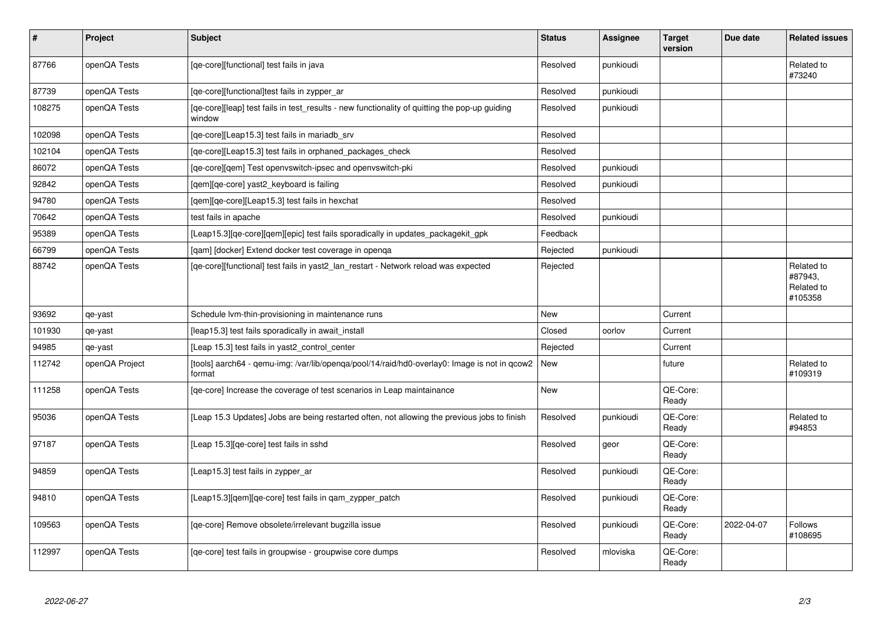| $\vert$ # | Project        | <b>Subject</b>                                                                                          | <b>Status</b> | <b>Assignee</b> | <b>Target</b><br>version | Due date   | <b>Related issues</b>                          |
|-----------|----------------|---------------------------------------------------------------------------------------------------------|---------------|-----------------|--------------------------|------------|------------------------------------------------|
| 87766     | openQA Tests   | [qe-core][functional] test fails in java                                                                | Resolved      | punkioudi       |                          |            | Related to<br>#73240                           |
| 87739     | openQA Tests   | [ge-core][functional]test fails in zypper ar                                                            | Resolved      | punkioudi       |                          |            |                                                |
| 108275    | openQA Tests   | [qe-core][leap] test fails in test_results - new functionality of quitting the pop-up guiding<br>window | Resolved      | punkioudi       |                          |            |                                                |
| 102098    | openQA Tests   | [qe-core][Leap15.3] test fails in mariadb_srv                                                           | Resolved      |                 |                          |            |                                                |
| 102104    | openQA Tests   | [qe-core][Leap15.3] test fails in orphaned_packages_check                                               | Resolved      |                 |                          |            |                                                |
| 86072     | openQA Tests   | [qe-core][qem] Test openvswitch-ipsec and openvswitch-pki                                               | Resolved      | punkioudi       |                          |            |                                                |
| 92842     | openQA Tests   | [qem][qe-core] yast2_keyboard is failing                                                                | Resolved      | punkioudi       |                          |            |                                                |
| 94780     | openQA Tests   | [gem][ge-core][Leap15.3] test fails in hexchat                                                          | Resolved      |                 |                          |            |                                                |
| 70642     | openQA Tests   | test fails in apache                                                                                    | Resolved      | punkioudi       |                          |            |                                                |
| 95389     | openQA Tests   | [Leap15.3][qe-core][qem][epic] test fails sporadically in updates_packagekit_gpk                        | Feedback      |                 |                          |            |                                                |
| 66799     | openQA Tests   | [gam] [docker] Extend docker test coverage in openga                                                    | Rejected      | punkioudi       |                          |            |                                                |
| 88742     | openQA Tests   | [qe-core][functional] test fails in yast2_lan_restart - Network reload was expected                     | Rejected      |                 |                          |            | Related to<br>#87943,<br>Related to<br>#105358 |
| 93692     | qe-yast        | Schedule Ivm-thin-provisioning in maintenance runs                                                      | New           |                 | Current                  |            |                                                |
| 101930    | qe-yast        | [leap15.3] test fails sporadically in await_install                                                     | Closed        | oorlov          | Current                  |            |                                                |
| 94985     | qe-yast        | [Leap 15.3] test fails in yast2_control_center                                                          | Rejected      |                 | Current                  |            |                                                |
| 112742    | openQA Project | [tools] aarch64 - gemu-img: /var/lib/openga/pool/14/raid/hd0-overlay0: Image is not in gcow2<br>format  | New           |                 | future                   |            | Related to<br>#109319                          |
| 111258    | openQA Tests   | [ge-core] Increase the coverage of test scenarios in Leap maintainance                                  | <b>New</b>    |                 | QE-Core:<br>Ready        |            |                                                |
| 95036     | openQA Tests   | [Leap 15.3 Updates] Jobs are being restarted often, not allowing the previous jobs to finish            | Resolved      | punkioudi       | QE-Core:<br>Ready        |            | Related to<br>#94853                           |
| 97187     | openQA Tests   | [Leap 15.3] [qe-core] test fails in sshd                                                                | Resolved      | geor            | QE-Core:<br>Ready        |            |                                                |
| 94859     | openQA Tests   | [Leap15.3] test fails in zypper_ar                                                                      | Resolved      | punkioudi       | QE-Core:<br>Ready        |            |                                                |
| 94810     | openQA Tests   | [Leap15.3][gem][ge-core] test fails in gam zypper patch                                                 | Resolved      | punkioudi       | QE-Core:<br>Ready        |            |                                                |
| 109563    | openQA Tests   | [ge-core] Remove obsolete/irrelevant bugzilla issue                                                     | Resolved      | punkioudi       | QE-Core:<br>Ready        | 2022-04-07 | <b>Follows</b><br>#108695                      |
| 112997    | openQA Tests   | [qe-core] test fails in groupwise - groupwise core dumps                                                | Resolved      | mloviska        | QE-Core:<br>Ready        |            |                                                |